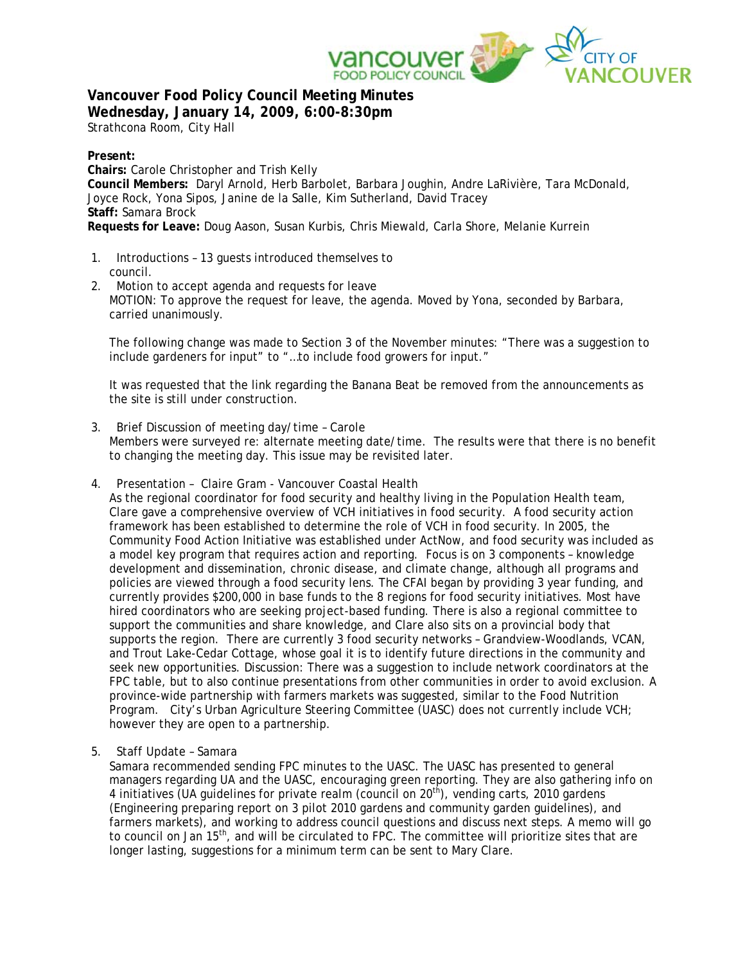

**Vancouver Food Policy Council Meeting Minutes Wednesday, January 14, 2009, 6:00-8:30pm**

Strathcona Room, City Hall

# **Present:**

**Chairs:** Carole Christopher and Trish Kelly **Council Members:** Daryl Arnold, Herb Barbolet, Barbara Joughin, Andre LaRivière, Tara McDonald, Joyce Rock, Yona Sipos, Janine de la Salle, Kim Sutherland, David Tracey **Staff:** Samara Brock **Requests for Leave:** Doug Aason, Susan Kurbis, Chris Miewald, Carla Shore, Melanie Kurrein

- 1. Introductions 13 guests introduced themselves to council.
- 2. Motion to accept agenda and requests for leave MOTION: To approve the request for leave, the agenda. Moved by Yona, seconded by Barbara, carried unanimously.

The following change was made to Section 3 of the November minutes: "There was a suggestion to include gardeners for input" to "…to include food growers for input."

It was requested that the link regarding the Banana Beat be removed from the announcements as the site is still under construction.

### 3. Brief Discussion of meeting day/time – Carole Members were surveyed re: alternate meeting date/time. The results were that there is no benefit to changing the meeting day. This issue may be revisited later.

4. Presentation – Claire Gram - Vancouver Coastal Health

As the regional coordinator for food security and healthy living in the Population Health team, Clare gave a comprehensive overview of VCH initiatives in food security. A food security action framework has been established to determine the role of VCH in food security. In 2005, the Community Food Action Initiative was established under ActNow, and food security was included as a model key program that requires action and reporting. Focus is on 3 components – knowledge development and dissemination, chronic disease, and climate change, although all programs and policies are viewed through a food security lens. The CFAI began by providing 3 year funding, and currently provides \$200,000 in base funds to the 8 regions for food security initiatives. Most have hired coordinators who are seeking project-based funding. There is also a regional committee to support the communities and share knowledge, and Clare also sits on a provincial body that supports the region. There are currently 3 food security networks – Grandview-Woodlands, VCAN, and Trout Lake-Cedar Cottage, whose goal it is to identify future directions in the community and seek new opportunities. Discussion: There was a suggestion to include network coordinators at the FPC table, but to also continue presentations from other communities in order to avoid exclusion. A province-wide partnership with farmers markets was suggested, similar to the Food Nutrition Program. City's Urban Agriculture Steering Committee (UASC) does not currently include VCH; however they are open to a partnership.

5. Staff Update – Samara

Samara recommended sending FPC minutes to the UASC. The UASC has presented to general managers regarding UA and the UASC, encouraging green reporting. They are also gathering info on 4 initiatives (UA guidelines for private realm (council on  $20<sup>th</sup>$ ), vending carts, 2010 gardens (Engineering preparing report on 3 pilot 2010 gardens and community garden guidelines), and farmers markets), and working to address council questions and discuss next steps. A memo will go to council on Jan 15<sup>th</sup>, and will be circulated to FPC. The committee will prioritize sites that are longer lasting, suggestions for a minimum term can be sent to Mary Clare.